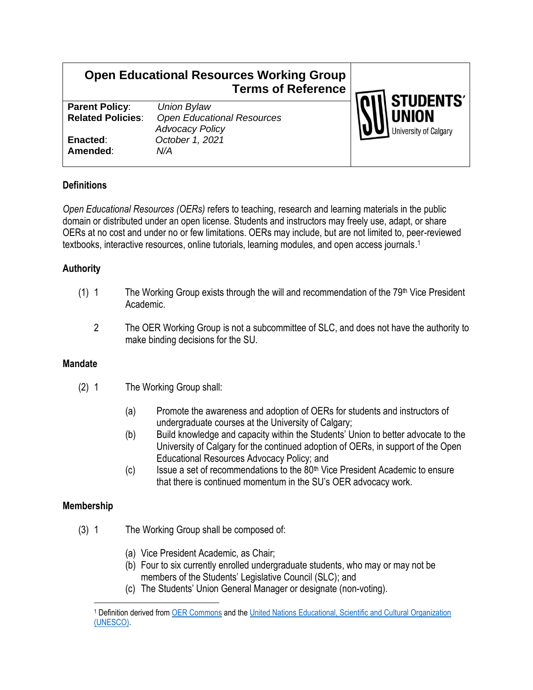# **Open Educational Resources Working Group Terms of Reference**

| <b>Parent Policy:</b>    | Union Bylaw                       |
|--------------------------|-----------------------------------|
| <b>Related Policies:</b> | <b>Open Educational Resources</b> |
|                          | <b>Advocacy Policy</b>            |
| Enacted:                 | October 1, 2021                   |
| Amended:                 | N/A                               |
|                          |                                   |



# **Definitions**

*Open Educational Resources (OERs)* refers to teaching, research and learning materials in the public domain or distributed under an open license. Students and instructors may freely use, adapt, or share OERs at no cost and under no or few limitations. OERs may include, but are not limited to, peer-reviewed textbooks, interactive resources, online tutorials, learning modules, and open access journals. 1

# **Authority**

- (1) 1 The Working Group exists through the will and recommendation of the  $79<sup>th</sup>$  Vice President Academic.
	- 2 The OER Working Group is not a subcommittee of SLC, and does not have the authority to make binding decisions for the SU.

#### **Mandate**

- (2) 1 The Working Group shall:
	- (a) Promote the awareness and adoption of OERs for students and instructors of undergraduate courses at the University of Calgary;
	- (b) Build knowledge and capacity within the Students' Union to better advocate to the University of Calgary for the continued adoption of OERs, in support of the Open Educational Resources Advocacy Policy; and
	- $(c)$  Issue a set of recommendations to the 80<sup>th</sup> Vice President Academic to ensure that there is continued momentum in the SU's OER advocacy work.

# **Membership**

- (3) 1 The Working Group shall be composed of:
	- (a) Vice President Academic, as Chair;
	- (b) Four to six currently enrolled undergraduate students, who may or may not be members of the Students' Legislative Council (SLC); and
	- (c) The Students' Union General Manager or designate (non-voting).

<sup>1</sup> Definition derived fro[m OER Commons](https://www.oercommons.org/about) and the [United Nations Educational, Scientific and Cultural Organization](https://en.unesco.org/themes/building-knowledge-societies/oer)  [\(UNESCO\).](https://en.unesco.org/themes/building-knowledge-societies/oer)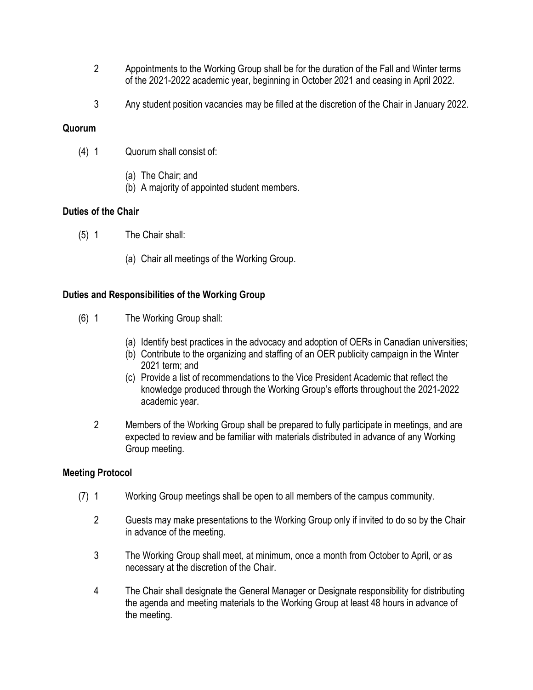- 2 Appointments to the Working Group shall be for the duration of the Fall and Winter terms of the 2021-2022 academic year, beginning in October 2021 and ceasing in April 2022.
- 3 Any student position vacancies may be filled at the discretion of the Chair in January 2022.

#### **Quorum**

- (4) 1 Quorum shall consist of:
	- (a) The Chair; and
	- (b) A majority of appointed student members.

## **Duties of the Chair**

- (5) 1 The Chair shall:
	- (a) Chair all meetings of the Working Group.

## **Duties and Responsibilities of the Working Group**

- (6) 1 The Working Group shall:
	- (a) Identify best practices in the advocacy and adoption of OERs in Canadian universities;
	- (b) Contribute to the organizing and staffing of an OER publicity campaign in the Winter 2021 term; and
	- (c) Provide a list of recommendations to the Vice President Academic that reflect the knowledge produced through the Working Group's efforts throughout the 2021-2022 academic year.
	- 2 Members of the Working Group shall be prepared to fully participate in meetings, and are expected to review and be familiar with materials distributed in advance of any Working Group meeting.

# **Meeting Protocol**

- (7) 1 Working Group meetings shall be open to all members of the campus community.
	- 2 Guests may make presentations to the Working Group only if invited to do so by the Chair in advance of the meeting.
	- 3 The Working Group shall meet, at minimum, once a month from October to April, or as necessary at the discretion of the Chair.
	- 4 The Chair shall designate the General Manager or Designate responsibility for distributing the agenda and meeting materials to the Working Group at least 48 hours in advance of the meeting.